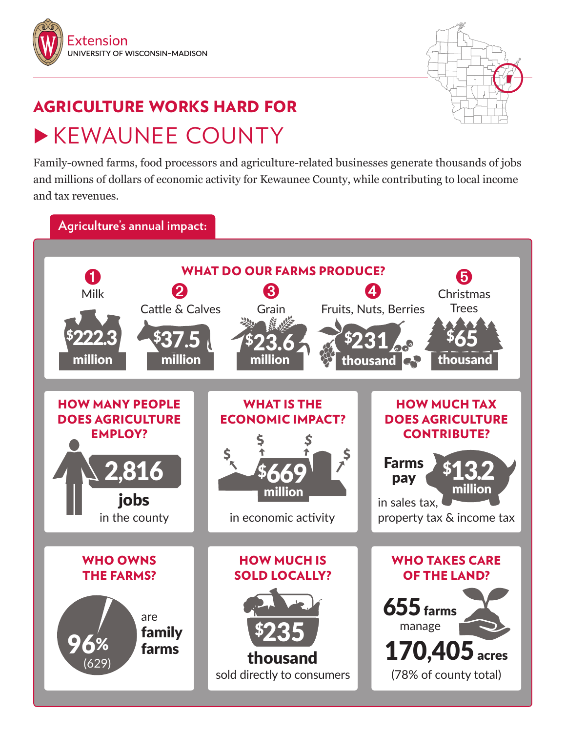



## AGRICULTURE WORKS HARD FOR **EXEMAUNEE COUNTY**

Family-owned farms, food processors and agriculture-related businesses generate thousands of jobs and millions of dollars of economic activity for Kewaunee County, while contributing to local income and tax revenues.